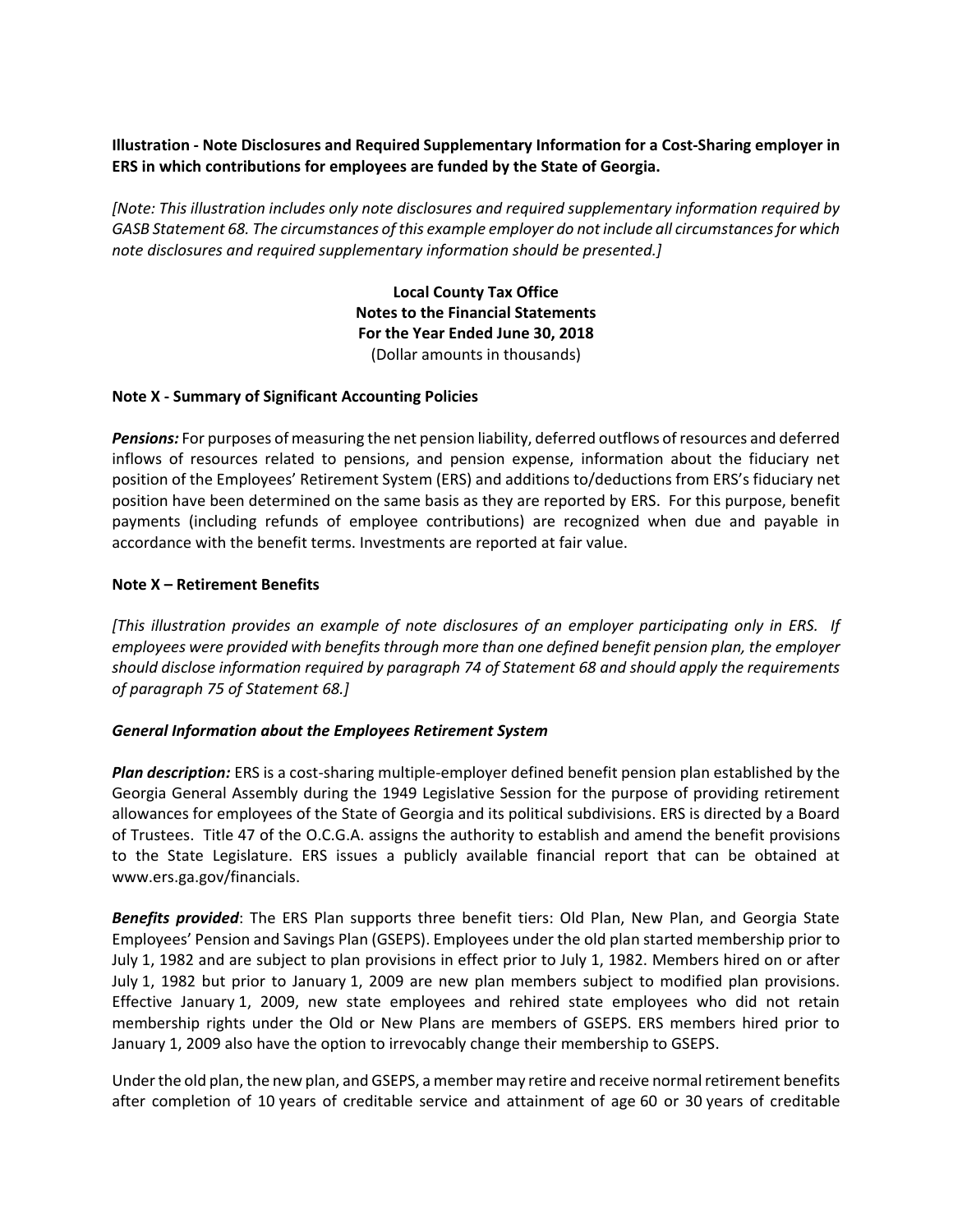## **Illustration - Note Disclosures and Required Supplementary Information for a Cost-Sharing employer in ERS in which contributions for employees are funded by the State of Georgia.**

*[Note: This illustration includes only note disclosures and required supplementary information required by GASB Statement 68. The circumstances of this example employer do not include all circumstances for which note disclosures and required supplementary information should be presented.]*

> **Local County Tax Office Notes to the Financial Statements For the Year Ended June 30, 2018** (Dollar amounts in thousands)

## **Note X - Summary of Significant Accounting Policies**

*Pensions:* For purposes of measuring the net pension liability, deferred outflows of resources and deferred inflows of resources related to pensions, and pension expense, information about the fiduciary net position of the Employees' Retirement System (ERS) and additions to/deductions from ERS's fiduciary net position have been determined on the same basis as they are reported by ERS. For this purpose, benefit payments (including refunds of employee contributions) are recognized when due and payable in accordance with the benefit terms. Investments are reported at fair value.

## **Note X – Retirement Benefits**

*[This illustration provides an example of note disclosures of an employer participating only in ERS. If employees were provided with benefits through more than one defined benefit pension plan, the employer should disclose information required by paragraph 74 of Statement 68 and should apply the requirements of paragraph 75 of Statement 68.]*

#### *General Information about the Employees Retirement System*

*Plan description:* ERS is a cost-sharing multiple-employer defined benefit pension plan established by the Georgia General Assembly during the 1949 Legislative Session for the purpose of providing retirement allowances for employees of the State of Georgia and its political subdivisions. ERS is directed by a Board of Trustees. Title 47 of the O.C.G.A. assigns the authority to establish and amend the benefit provisions to the State Legislature. ERS issues a publicly available financial report that can be obtained at www.ers.ga.gov/financials.

*Benefits provided*: The ERS Plan supports three benefit tiers: Old Plan, New Plan, and Georgia State Employees' Pension and Savings Plan (GSEPS). Employees under the old plan started membership prior to July 1, 1982 and are subject to plan provisions in effect prior to July 1, 1982. Members hired on or after July 1, 1982 but prior to January 1, 2009 are new plan members subject to modified plan provisions. Effective January 1, 2009, new state employees and rehired state employees who did not retain membership rights under the Old or New Plans are members of GSEPS. ERS members hired prior to January 1, 2009 also have the option to irrevocably change their membership to GSEPS.

Under the old plan, the new plan, and GSEPS, a member may retire and receive normal retirement benefits after completion of 10 years of creditable service and attainment of age 60 or 30 years of creditable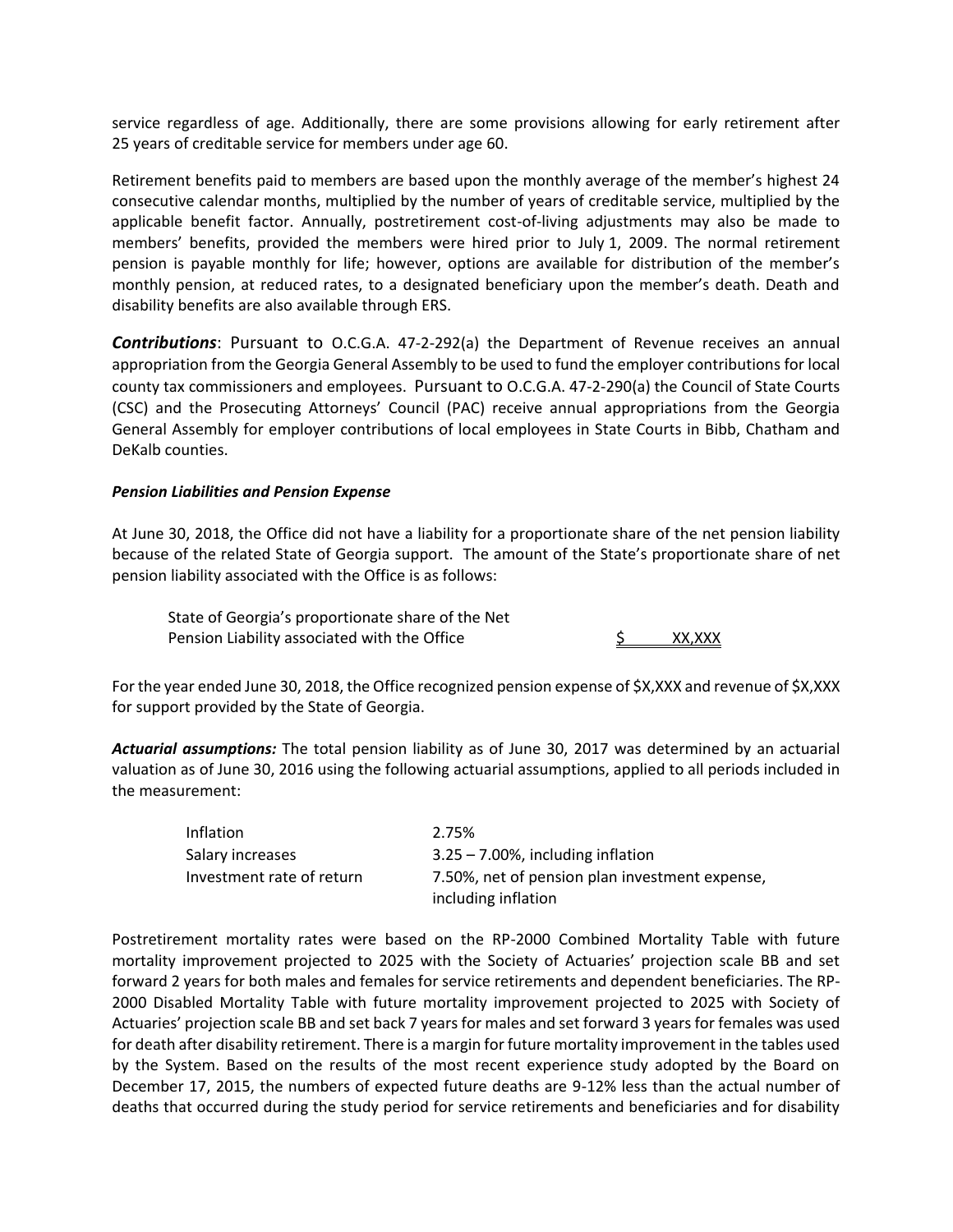service regardless of age. Additionally, there are some provisions allowing for early retirement after 25 years of creditable service for members under age 60.

Retirement benefits paid to members are based upon the monthly average of the member's highest 24 consecutive calendar months, multiplied by the number of years of creditable service, multiplied by the applicable benefit factor. Annually, postretirement cost-of-living adjustments may also be made to members' benefits, provided the members were hired prior to July 1, 2009. The normal retirement pension is payable monthly for life; however, options are available for distribution of the member's monthly pension, at reduced rates, to a designated beneficiary upon the member's death. Death and disability benefits are also available through ERS.

*Contributions*: Pursuant to O.C.G.A. 47-2-292(a) the Department of Revenue receives an annual appropriation from the Georgia General Assembly to be used to fund the employer contributions for local county tax commissioners and employees. Pursuant to O.C.G.A. 47-2-290(a) the Council of State Courts (CSC) and the Prosecuting Attorneys' Council (PAC) receive annual appropriations from the Georgia General Assembly for employer contributions of local employees in State Courts in Bibb, Chatham and DeKalb counties.

## *Pension Liabilities and Pension Expense*

At June 30, 2018, the Office did not have a liability for a proportionate share of the net pension liability because of the related State of Georgia support. The amount of the State's proportionate share of net pension liability associated with the Office is as follows:

State of Georgia's proportionate share of the Net Pension Liability associated with the Office  $\frac{1}{2}$  XX,XXX

For the year ended June 30, 2018, the Office recognized pension expense of \$X,XXX and revenue of \$X,XXX for support provided by the State of Georgia.

*Actuarial assumptions:* The total pension liability as of June 30, 2017 was determined by an actuarial valuation as of June 30, 2016 using the following actuarial assumptions, applied to all periods included in the measurement:

| Inflation                 | 2.75%                                                                 |
|---------------------------|-----------------------------------------------------------------------|
| Salary increases          | $3.25 - 7.00\%$ , including inflation                                 |
| Investment rate of return | 7.50%, net of pension plan investment expense,<br>including inflation |

Postretirement mortality rates were based on the RP-2000 Combined Mortality Table with future mortality improvement projected to 2025 with the Society of Actuaries' projection scale BB and set forward 2 years for both males and females for service retirements and dependent beneficiaries. The RP-2000 Disabled Mortality Table with future mortality improvement projected to 2025 with Society of Actuaries' projection scale BB and set back 7 years for males and set forward 3 years for females was used for death after disability retirement. There is a margin for future mortality improvement in the tables used by the System. Based on the results of the most recent experience study adopted by the Board on December 17, 2015, the numbers of expected future deaths are 9-12% less than the actual number of deaths that occurred during the study period for service retirements and beneficiaries and for disability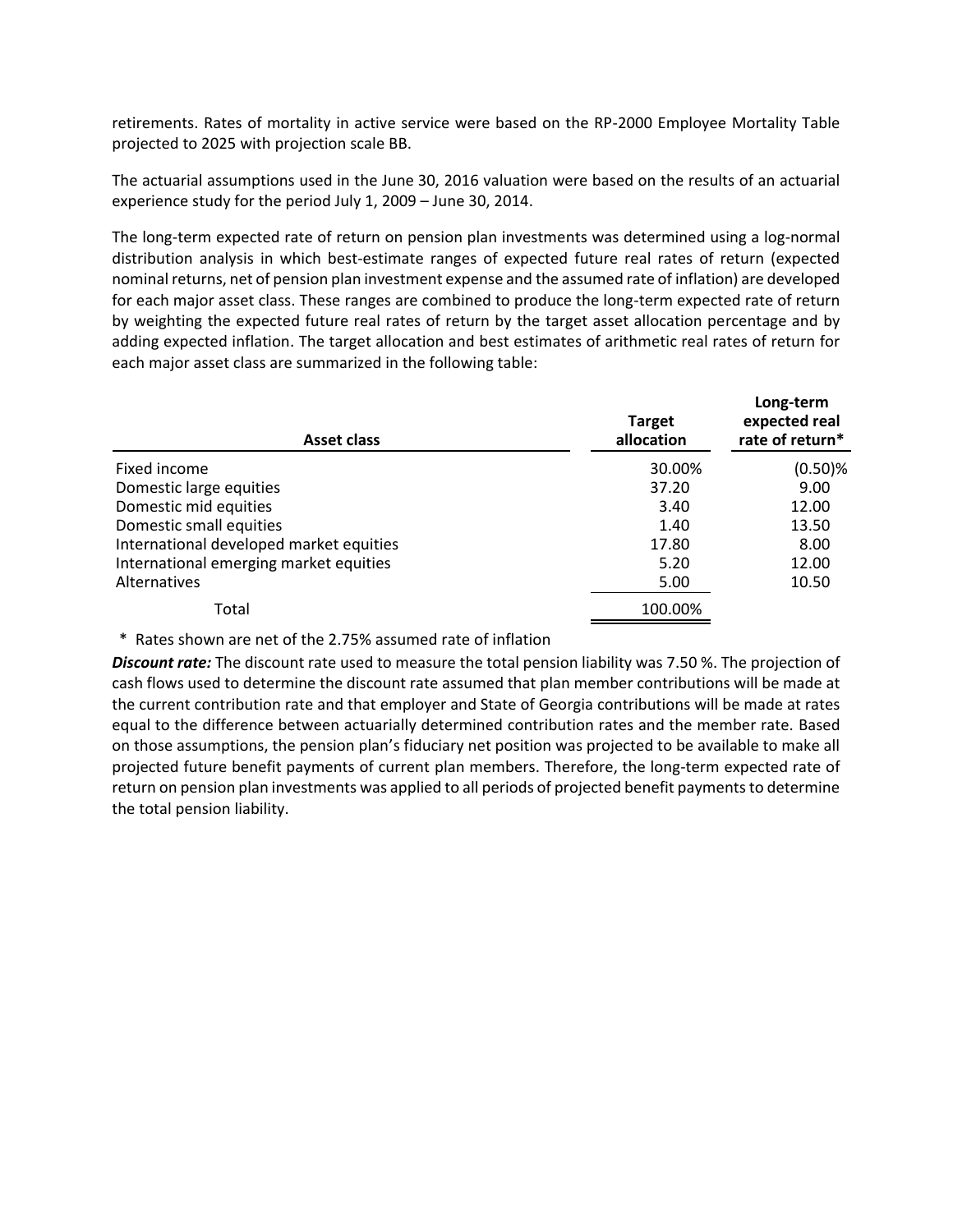retirements. Rates of mortality in active service were based on the RP-2000 Employee Mortality Table projected to 2025 with projection scale BB.

The actuarial assumptions used in the June 30, 2016 valuation were based on the results of an actuarial experience study for the period July 1, 2009 – June 30, 2014.

The long-term expected rate of return on pension plan investments was determined using a log-normal distribution analysis in which best-estimate ranges of expected future real rates of return (expected nominal returns, net of pension plan investment expense and the assumed rate of inflation) are developed for each major asset class. These ranges are combined to produce the long-term expected rate of return by weighting the expected future real rates of return by the target asset allocation percentage and by adding expected inflation. The target allocation and best estimates of arithmetic real rates of return for each major asset class are summarized in the following table:

| Asset class                             | <b>Target</b><br>allocation | Long-term<br>expected real<br>rate of return* |  |
|-----------------------------------------|-----------------------------|-----------------------------------------------|--|
| Fixed income                            | 30.00%                      | $(0.50)$ %                                    |  |
| Domestic large equities                 | 37.20                       | 9.00                                          |  |
| Domestic mid equities                   | 3.40                        | 12.00                                         |  |
| Domestic small equities                 | 1.40                        | 13.50                                         |  |
| International developed market equities | 17.80                       | 8.00                                          |  |
| International emerging market equities  | 5.20                        | 12.00                                         |  |
| Alternatives                            | 5.00                        | 10.50                                         |  |
| Total                                   | 100.00%                     |                                               |  |

\* Rates shown are net of the 2.75% assumed rate of inflation

*Discount rate:* The discount rate used to measure the total pension liability was 7.50 %. The projection of cash flows used to determine the discount rate assumed that plan member contributions will be made at the current contribution rate and that employer and State of Georgia contributions will be made at rates equal to the difference between actuarially determined contribution rates and the member rate. Based on those assumptions, the pension plan's fiduciary net position was projected to be available to make all projected future benefit payments of current plan members. Therefore, the long-term expected rate of return on pension plan investments was applied to all periods of projected benefit payments to determine the total pension liability.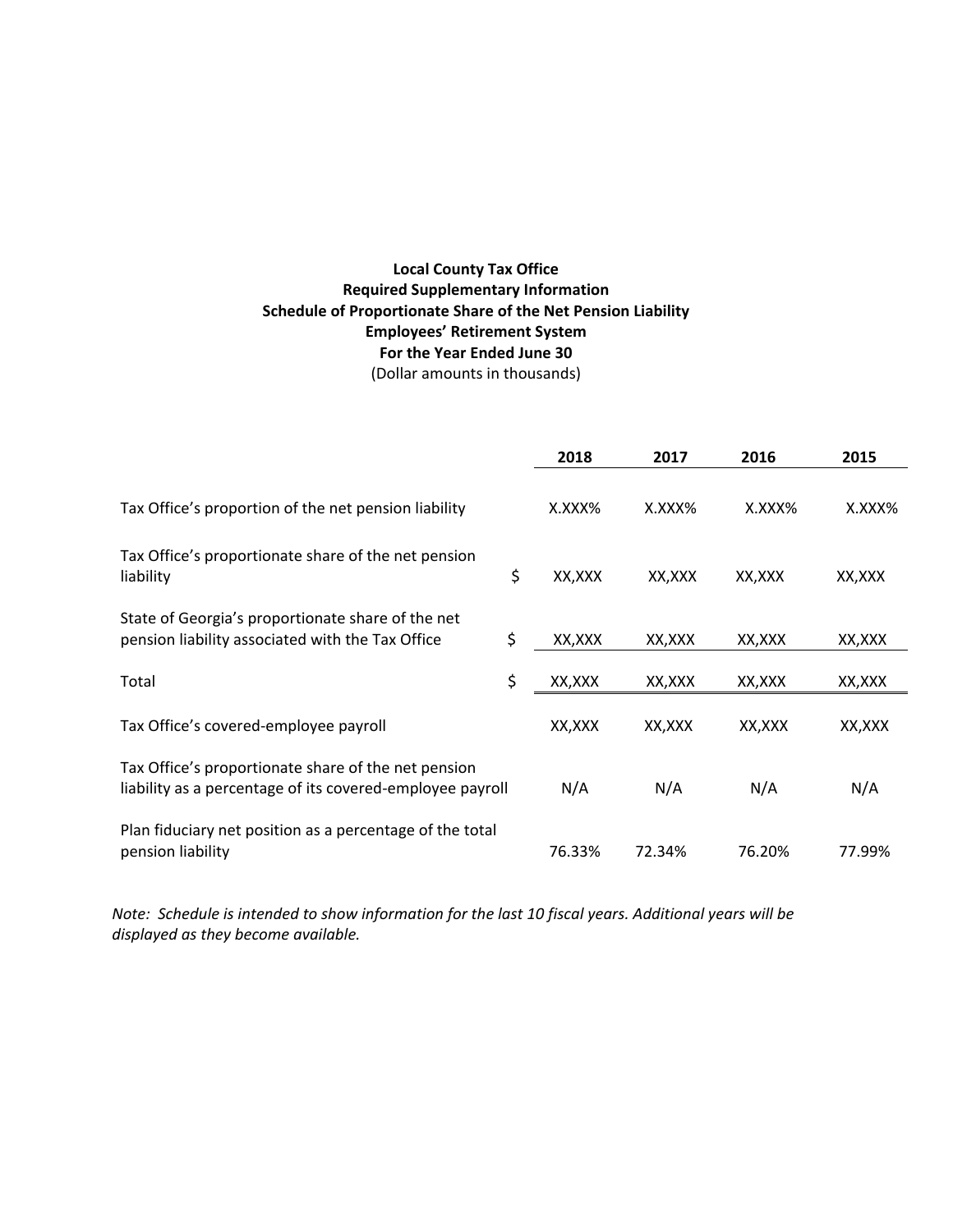# **Local County Tax Office Required Supplementary Information Schedule of Proportionate Share of the Net Pension Liability Employees' Retirement System For the Year Ended June 30** (Dollar amounts in thousands)

|                                                                                                                  |    | 2018    | 2017    | 2016    | 2015    |
|------------------------------------------------------------------------------------------------------------------|----|---------|---------|---------|---------|
| Tax Office's proportion of the net pension liability                                                             |    | X.XXX%  | X.XXX%  | X.XXX%  | X.XXX%  |
| Tax Office's proportionate share of the net pension<br>liability                                                 | \$ | XX, XXX | XX,XXX  | XX, XXX | XX, XXX |
| State of Georgia's proportionate share of the net<br>pension liability associated with the Tax Office            | \$ | XX, XXX | XX, XXX | XX, XXX | XX,XXX  |
| Total                                                                                                            | \$ | XX, XXX | XX, XXX | XX, XXX | XX, XXX |
| Tax Office's covered-employee payroll                                                                            |    | XX, XXX | XX, XXX | XX, XXX | XX, XXX |
| Tax Office's proportionate share of the net pension<br>liability as a percentage of its covered-employee payroll |    | N/A     | N/A     | N/A     | N/A     |
| Plan fiduciary net position as a percentage of the total<br>pension liability                                    |    | 76.33%  | 72.34%  | 76.20%  | 77.99%  |

*Note: Schedule is intended to show information for the last 10 fiscal years. Additional years will be displayed as they become available.*